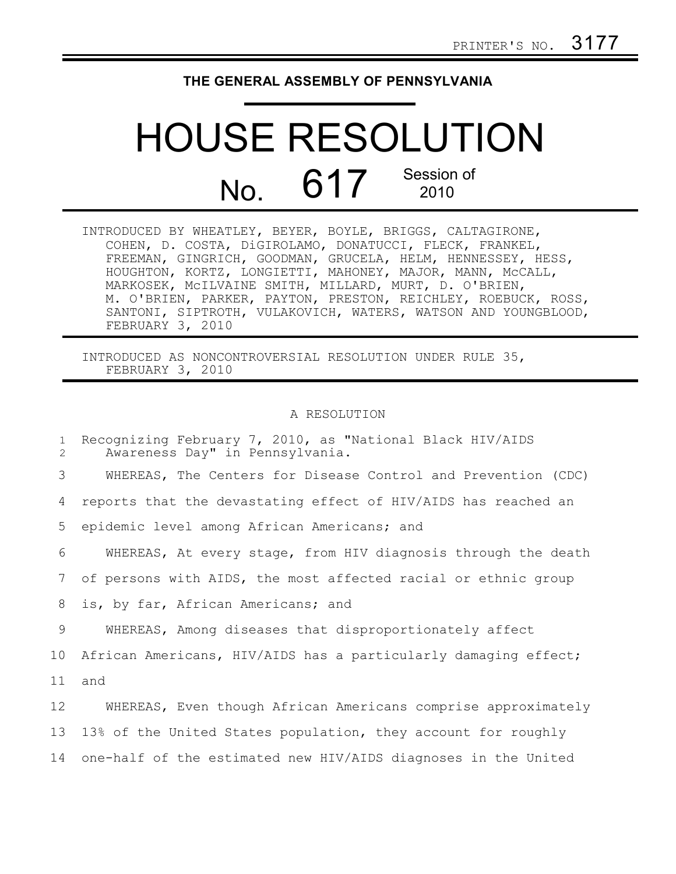## **THE GENERAL ASSEMBLY OF PENNSYLVANIA**

## HOUSE RESOLUTION No. 617 Session of 2010

| INTRODUCED BY WHEATLEY, BEYER, BOYLE, BRIGGS, CALTAGIRONE,    |
|---------------------------------------------------------------|
| COHEN, D. COSTA, DiGIROLAMO, DONATUCCI, FLECK, FRANKEL,       |
| FREEMAN, GINGRICH, GOODMAN, GRUCELA, HELM, HENNESSEY, HESS,   |
| HOUGHTON, KORTZ, LONGIETTI, MAHONEY, MAJOR, MANN, MCCALL,     |
| MARKOSEK, MCILVAINE SMITH, MILLARD, MURT, D. O'BRIEN,         |
| M. O'BRIEN, PARKER, PAYTON, PRESTON, REICHLEY, ROEBUCK, ROSS, |
| SANTONI, SIPTROTH, VULAKOVICH, WATERS, WATSON AND YOUNGBLOOD, |
| FEBRUARY 3, 2010                                              |

INTRODUCED AS NONCONTROVERSIAL RESOLUTION UNDER RULE 35, FEBRUARY 3, 2010

## A RESOLUTION

| $\mathbf{1}$<br>2 | Recognizing February 7, 2010, as "National Black HIV/AIDS<br>Awareness Day" in Pennsylvania. |
|-------------------|----------------------------------------------------------------------------------------------|
| 3                 | WHEREAS, The Centers for Disease Control and Prevention (CDC)                                |
| 4                 | reports that the devastating effect of HIV/AIDS has reached an                               |
| 5                 | epidemic level among African Americans; and                                                  |
| 6                 | WHEREAS, At every stage, from HIV diagnosis through the death                                |
| 7                 | of persons with AIDS, the most affected racial or ethnic group                               |
| 8                 | is, by far, African Americans; and                                                           |
| 9                 | WHEREAS, Among diseases that disproportionately affect                                       |
| 10                | African Americans, HIV/AIDS has a particularly damaging effect;                              |
| 11                | and                                                                                          |
| 12                | WHEREAS, Even though African Americans comprise approximately                                |
| 13                | 13% of the United States population, they account for roughly                                |
| 14                | one-half of the estimated new HIV/AIDS diagnoses in the United                               |